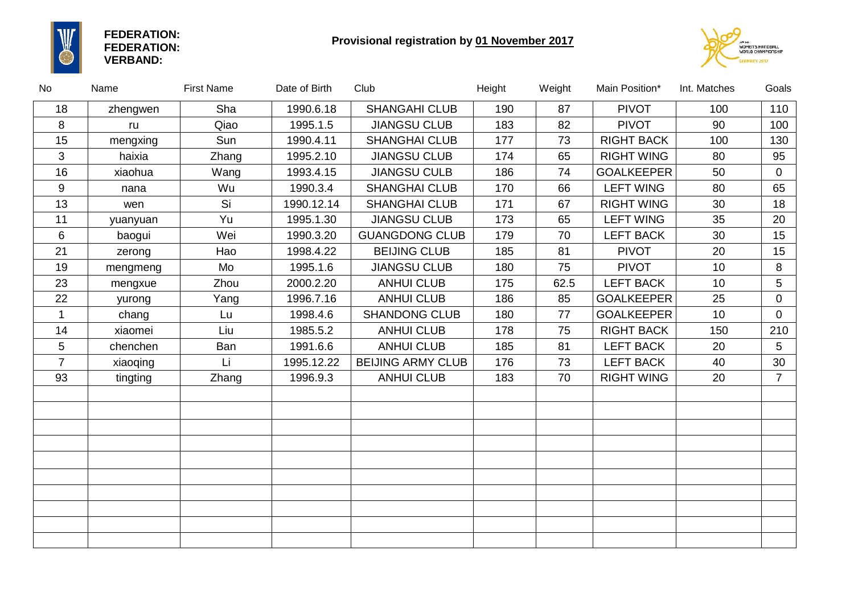

**FEDERATION: FEDERATION: VERBAND:**

## **Provisional registration by 01 November 2017**



| No             | Name     | <b>First Name</b> | Date of Birth | Club                     | Height | Weight | Main Position*    | Int. Matches    | Goals          |
|----------------|----------|-------------------|---------------|--------------------------|--------|--------|-------------------|-----------------|----------------|
| 18             | zhengwen | Sha               | 1990.6.18     | <b>SHANGAHI CLUB</b>     | 190    | 87     | <b>PIVOT</b>      | 100             | 110            |
| 8              | ru       | Qiao              | 1995.1.5      | <b>JIANGSU CLUB</b>      | 183    | 82     | <b>PIVOT</b>      | 90              | 100            |
| 15             | mengxing | Sun               | 1990.4.11     | <b>SHANGHAI CLUB</b>     | 177    | 73     | <b>RIGHT BACK</b> | 100             | 130            |
| 3              | haixia   | Zhang             | 1995.2.10     | <b>JIANGSU CLUB</b>      | 174    | 65     | <b>RIGHT WING</b> | 80              | 95             |
| 16             | xiaohua  | Wang              | 1993.4.15     | <b>JIANGSU CULB</b>      | 186    | 74     | <b>GOALKEEPER</b> | 50              | 0              |
| 9              | nana     | Wu                | 1990.3.4      | <b>SHANGHAI CLUB</b>     | 170    | 66     | <b>LEFT WING</b>  | 80              | 65             |
| 13             | wen      | Si                | 1990.12.14    | <b>SHANGHAI CLUB</b>     | 171    | 67     | <b>RIGHT WING</b> | 30              | 18             |
| 11             | yuanyuan | Yu                | 1995.1.30     | <b>JIANGSU CLUB</b>      | 173    | 65     | <b>LEFT WING</b>  | 35              | 20             |
| 6              | baogui   | Wei               | 1990.3.20     | <b>GUANGDONG CLUB</b>    | 179    | 70     | <b>LEFT BACK</b>  | 30              | 15             |
| 21             | zerong   | Hao               | 1998.4.22     | <b>BEIJING CLUB</b>      | 185    | 81     | <b>PIVOT</b>      | 20              | 15             |
| 19             | mengmeng | Mo                | 1995.1.6      | <b>JIANGSU CLUB</b>      | 180    | 75     | <b>PIVOT</b>      | 10 <sup>°</sup> | 8              |
| 23             | mengxue  | Zhou              | 2000.2.20     | <b>ANHUI CLUB</b>        | 175    | 62.5   | <b>LEFT BACK</b>  | 10              | 5              |
| 22             | yurong   | Yang              | 1996.7.16     | <b>ANHUI CLUB</b>        | 186    | 85     | <b>GOALKEEPER</b> | 25              | $\overline{0}$ |
| $\mathbf{1}$   | chang    | Lu                | 1998.4.6      | SHANDONG CLUB            | 180    | 77     | <b>GOALKEEPER</b> | 10              | $\overline{0}$ |
| 14             | xiaomei  | Liu               | 1985.5.2      | <b>ANHUI CLUB</b>        | 178    | 75     | <b>RIGHT BACK</b> | 150             | 210            |
| 5              | chenchen | Ban               | 1991.6.6      | <b>ANHUI CLUB</b>        | 185    | 81     | <b>LEFT BACK</b>  | 20              | 5              |
| $\overline{7}$ | xiaoqing | Li                | 1995.12.22    | <b>BEIJING ARMY CLUB</b> | 176    | 73     | <b>LEFT BACK</b>  | 40              | 30             |
| 93             | tingting | Zhang             | 1996.9.3      | <b>ANHUI CLUB</b>        | 183    | 70     | <b>RIGHT WING</b> | 20              | $\overline{7}$ |
|                |          |                   |               |                          |        |        |                   |                 |                |
|                |          |                   |               |                          |        |        |                   |                 |                |
|                |          |                   |               |                          |        |        |                   |                 |                |
|                |          |                   |               |                          |        |        |                   |                 |                |
|                |          |                   |               |                          |        |        |                   |                 |                |
|                |          |                   |               |                          |        |        |                   |                 |                |
|                |          |                   |               |                          |        |        |                   |                 |                |
|                |          |                   |               |                          |        |        |                   |                 |                |
|                |          |                   |               |                          |        |        |                   |                 |                |
|                |          |                   |               |                          |        |        |                   |                 |                |